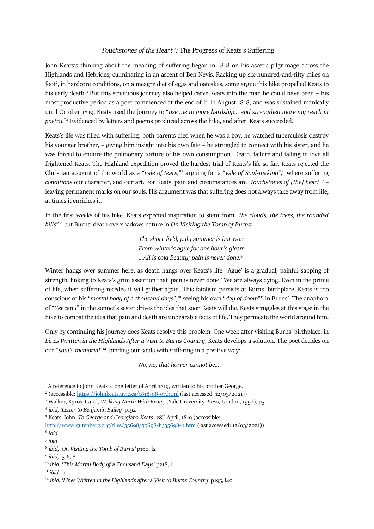## '*Touchstones of the Heart*<sup>'</sup><sup>1</sup>: The Progress of Keats's Suffering

John Keats's thinking about the meaning of suffering began in 1818 on his ascetic pilgrimage across the Highlands and Hebrides, culminating in an ascent of Ben Nevis. Racking up six-hundred-and-fifty miles on foot<sup>2</sup>, in hardcore conditions, on a meagre diet of eggs and oatcakes, some argue this hike propelled Keats to his early death.<sup>3</sup> But this strenuous journey also helped carve Keats into the man he could have been - his most productive period as a poet commenced at the end of it, in August 1818, and was sustained manically until October 1819. Keats used the journey to "*use me to more hardship… and strengthen more my reach in poetry.*" <sup>4</sup> Evidenced by letters and poems produced across the hike, and after, Keats succeeded.

Keats's life was filled with suffering: both parents died when he was a boy, he watched tuberculosis destroy his younger brother, – giving him insight into his own fate – he struggled to connect with his sister, and he was forced to endure the pulmonary torture of his own consumption. Death, failure and falling in love all frightened Keats. The Highland expedition proved the hardest trial of Keats's life so far. Keats rejected the Christian account of the world as a "*vale of tears,*" 5 arguing for a "*vale of Soul-making*", <sup>6</sup> where suffering *conditions* our character, and our art. For Keats, pain and circumstances are "*touchstones of [the] heart*" 7 – leaving permanent marks on our souls. His argument was that suffering does not always take away from life, at times it enriches it.

In the first weeks of his hike, Keats expected inspiration to stem from "*the clouds, the trees, the rounded hills*",<sup>8</sup> but Burns' death overshadows nature in *On Visiting the Tomb of Burns*:

> *The short-liv'd, paly summer is but won From winter's ague for one hour's gleam …All is cold Beauty; pain is never done.*<sup>9</sup>

Winter hangs over summer here, as death hangs over Keats's life. 'Ague' is a gradual, painful sapping of strength, linking to Keats's grim assertion that 'pain is never done.' We are always dying. Even in the prime of life, when suffering recedes it will gather again. This fatalism persists at Burns' birthplace. Keats is too conscious of his "*mortal body of a thousand days*", <sup>10</sup> seeing his own "*day of doom*" <sup>11</sup> in Burns'. The anaphora of "*Yet can I*" in the sonnet's sestet drives the idea that soon Keats will die. Keats struggles at this stage in the hike to combat the idea that pain and death are unbearable facts of life. They permeate the world around him.

Only by continuing his journey does Keats resolve this problem. One week after visiting Burns' birthplace, in *Lines Written in the Highlands After a Visit to Burns Country*, Keats develops a solution. The poet decides on our "soul's memorial"<sup>12</sup>, binding our souls with suffering in a positive way:

*No, no, that horror cannot be…* 

<sup>&</sup>lt;sup>1</sup> A reference to John Keats's long letter of April 1819, written to his brother George.

<sup>&</sup>lt;sup>2</sup> (accessible[: https://johnkeats.uvic.ca/1818-08-07.html](https://johnkeats.uvic.ca/1818-08-07.html) (last accessed: 12/03/2021))

<sup>3</sup> Walker, Kyros, Carol, *Walking North With Keats,* (Yale University Press, London, 1992), p5

<sup>4</sup> *ibid, 'Letter to Benjamin Bailey'* p192

<sup>5</sup> Keats, John, *To George and Georgiana Keats*, 28th April, 1819 (accessible: <http://www.gutenberg.org/files/35698/35698-h/35698-h.htm> (last accessed: 12/03/2021))

<sup>6</sup> *ibid*

<sup>7</sup> *ibid*

<sup>8</sup> *ibid, 'On Visiting the Tomb of Burns'* p160, l2

<sup>9</sup> *ibid,* l5-6, 8

<sup>10</sup> *ibid,* '*This Mortal Body of a Thousand Days*' p218, l1

<sup>11</sup> *ibid,* l4

<sup>&</sup>lt;sup>12</sup> *ibid, 'Lines Written in the Highlands after a Visit to Burns Country'* p195, l<sub>40</sub>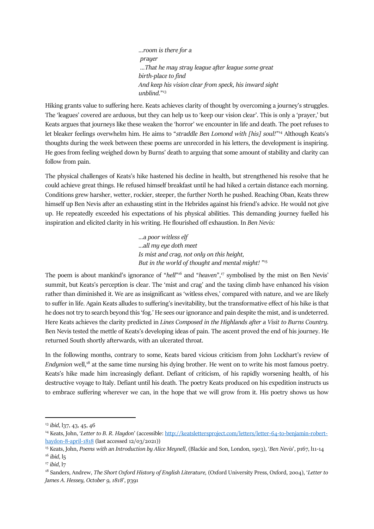*…room is there for a prayer …That he may stray league after league some great birth-place to find And keep his vision clear from speck, his inward sight unblind.*" 13

Hiking grants value to suffering here. Keats achieves clarity of thought by overcoming a journey's struggles. The 'leagues' covered are arduous, but they can help us to 'keep our vision clear'. This is only a 'prayer,' but Keats argues that journeys like these weaken the 'horror' we encounter in life and death. The poet refuses to let bleaker feelings overwhelm him. He aims to "*straddle Ben Lomond with [his] soul!*" <sup>14</sup> Although Keats's thoughts during the week between these poems are unrecorded in his letters, the development is inspiring. He goes from feeling weighed down by Burns' death to arguing that some amount of stability and clarity can follow from pain.

The physical challenges of Keats's hike hastened his decline in health, but strengthened his resolve that he could achieve great things. He refused himself breakfast until he had hiked a certain distance each morning. Conditions grew harsher, wetter, rockier, steeper, the further North he pushed. Reaching Oban, Keats threw himself up Ben Nevis after an exhausting stint in the Hebrides against his friend's advice. He would not give up. He repeatedly exceeded his expectations of his physical abilities. This demanding journey fuelled his inspiration and elicited clarity in his writing. He flourished off exhaustion. In *Ben Nevis:* 

> *…a poor witless elf ...all my eye doth meet Is mist and crag, not only on this height, But in the world of thought and mental might!* " 15

The poem is about mankind's ignorance of "*hell*"<sup>16</sup> and "*heaven*",<sup>17</sup> symbolised by the mist on Ben Nevis' summit, but Keats's perception is clear. The 'mist and crag' and the taxing climb have enhanced his vision rather than diminished it. We are as insignificant as 'witless elves,' compared with nature, and we are likely to suffer in life. Again Keats alludes to suffering's inevitability, but the transformative effect of his hike is that he does not try to search beyond this 'fog.' He sees our ignorance and pain despite the mist, and is undeterred. Here Keats achieves the clarity predicted in *Lines Composed in the Highlands after a Visit to Burns Country.*  Ben Nevis tested the mettle of Keats's developing ideas of pain. The ascent proved the end of his journey. He returned South shortly afterwards, with an ulcerated throat.

In the following months, contrary to some, Keats bared vicious criticism from John Lockhart's review of *Endymion well*,<sup>18</sup> at the same time nursing his dying brother. He went on to write his most famous poetry. Keats's hike made him increasingly defiant. Defiant of criticism, of his rapidly worsening health, of his destructive voyage to Italy. Defiant until his death. The poetry Keats produced on his expedition instructs us to embrace suffering wherever we can, in the hope that we will grow from it. His poetry shows us how

<sup>13</sup> *ibid*, l37, 43, 45, 46

<sup>&</sup>lt;sup>14</sup> Keats, John, '*Letter to B. R. Haydon'* (accessible: [http://keatslettersproject.com/letters/letter-64-to-benjamin-robert](http://keatslettersproject.com/letters/letter-64-to-benjamin-robert-haydon-8-april-1818)[haydon-8-april-1818](http://keatslettersproject.com/letters/letter-64-to-benjamin-robert-haydon-8-april-1818) (last accessed 12/03/2021))

<sup>15</sup> Keats, John, *Poems with an Introduction by Alice Meynell*, (Blackie and Son, London, 1903), '*Ben Nevis*', p167, l11-14 <sup>16</sup> *ibid*, l5

<sup>17</sup> *ibid*, l7

<sup>&</sup>lt;sup>18</sup> Sanders, Andrew, *The Short Oxford History of English Literature,* (Oxford University Press, Oxford, 2004), 'Letter to *James A. Hessey, October 9, 1818', p391*